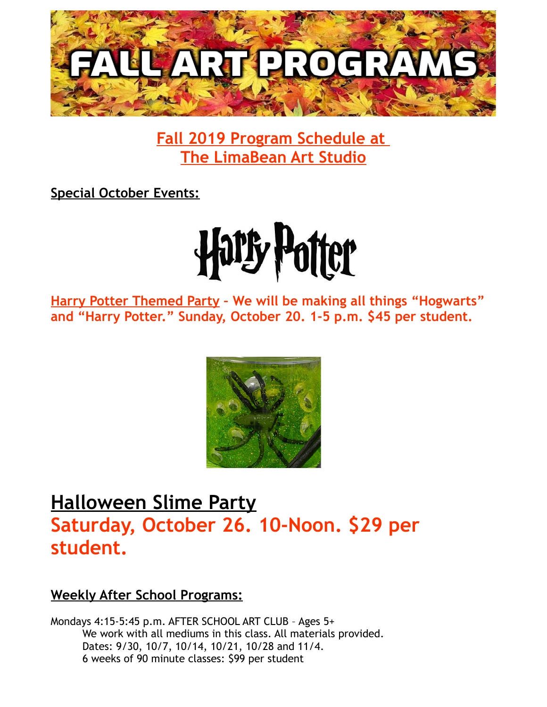

**Fall 2019 Program Schedule at The LimaBean Art Studio**

**Special October Events:**



**Harry Potter Themed Party – We will be making all things "Hogwarts" and "Harry Potter." Sunday, October 20. 1-5 p.m. \$45 per student.**



## **Halloween Slime Party Saturday, October 26. 10-Noon. \$29 per student.**

## **Weekly After School Programs:**

Mondays 4:15-5:45 p.m. AFTER SCHOOL ART CLUB – Ages 5+ We work with all mediums in this class. All materials provided. Dates: 9/30, 10/7, 10/14, 10/21, 10/28 and 11/4. 6 weeks of 90 minute classes: \$99 per student